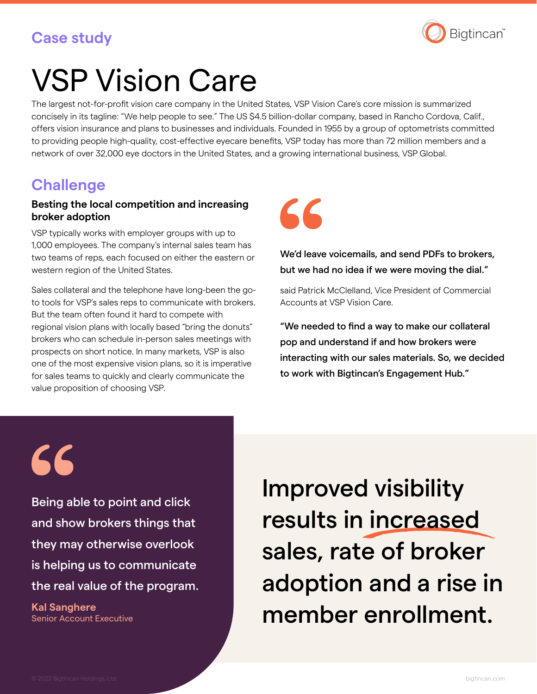## **Case study**



# VSP Vision Care

The largest not-for-profit vision care company in the United States, VSP Vision Care's core mission is summarized concisely in its tagline: "We help people to see." The US \$4.5 billion-dollar company, based in Rancho Cordova, Calif., offers vision insurance and plans to businesses and individuals. Founded in 1955 by a group of optometrists committed to providing people high-quality, cost-effective eyecare benefits, VSP today has more than 72 million members and a network of over 32,000 eye doctors in the United States, and a growing international business, VSP Global.

## **Challenge**

#### **Besting the local competition and increasing broker adoption**

VSP typically works with employer groups with up to 1,000 employees. The company's internal sales team has two teams of reps, each focused on either the eastern or western region of the United States.

Sales collateral and the telephone have long-been the goto tools for VSP's sales reps to communicate with brokers. But the team often found it hard to compete with regional vision plans with locally based "bring the donuts" brokers who can schedule in-person sales meetings with prospects on short notice. In many markets, VSP is also one of the most expensive vision plans, so it is imperative for sales teams to quickly and clearly communicate the value proposition of choosing VSP.



We'd leave voicemails, and send PDFs to brokers, but we had no idea if we were moving the dial."

said Patrick McClelland, Vice President of Commercial Accounts at VSP Vision Care.

"We needed to find a way to make our collateral pop and understand if and how brokers were interacting with our sales materials. So, we decided to work with Bigtincan's Engagement Hub."

66

Being able to point and click and show brokers things that they may otherwise overlook is helping us to communicate the real value of the program.

**Kal Sanghere** Senior Account Executive Improved visibility results in increased sales, rate of broker adoption and a rise in member enrollment.